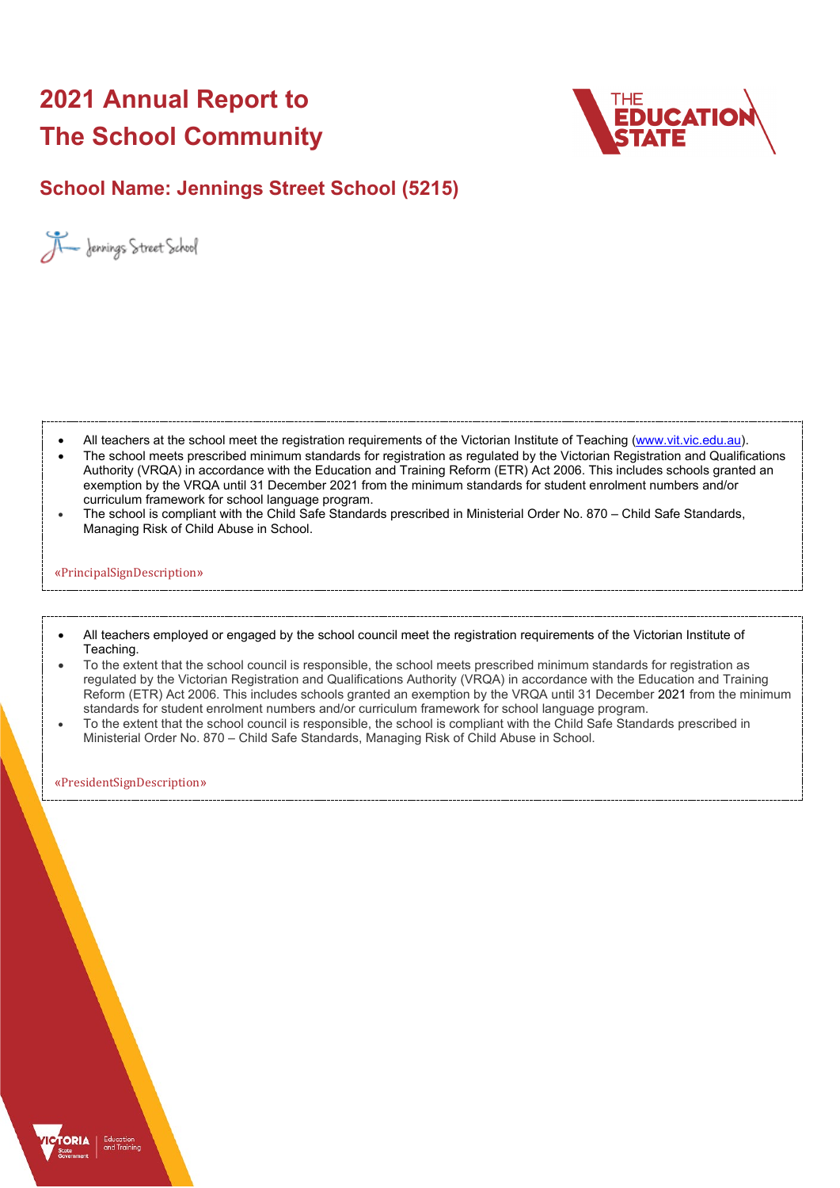# **2021 Annual Report to The School Community**



## **School Name: Jennings Street School (5215)**



- All teachers at the school meet the registration requirements of the Victorian Institute of Teaching [\(www.vit.vic.edu.au\)](https://www.vit.vic.edu.au/).
- The school meets prescribed minimum standards for registration as regulated by the Victorian Registration and Qualifications Authority (VRQA) in accordance with the Education and Training Reform (ETR) Act 2006. This includes schools granted an exemption by the VRQA until 31 December 2021 from the minimum standards for student enrolment numbers and/or curriculum framework for school language program.
- The school is compliant with the Child Safe Standards prescribed in Ministerial Order No. 870 Child Safe Standards, Managing Risk of Child Abuse in School.

#### «PrincipalSignDescription»

- All teachers employed or engaged by the school council meet the registration requirements of the Victorian Institute of Teaching.
- To the extent that the school council is responsible, the school meets prescribed minimum standards for registration as regulated by the Victorian Registration and Qualifications Authority (VRQA) in accordance with the Education and Training Reform (ETR) Act 2006. This includes schools granted an exemption by the VRQA until 31 December 2021 from the minimum standards for student enrolment numbers and/or curriculum framework for school language program.
- To the extent that the school council is responsible, the school is compliant with the Child Safe Standards prescribed in Ministerial Order No. 870 – Child Safe Standards, Managing Risk of Child Abuse in School.

«PresidentSignDescription»

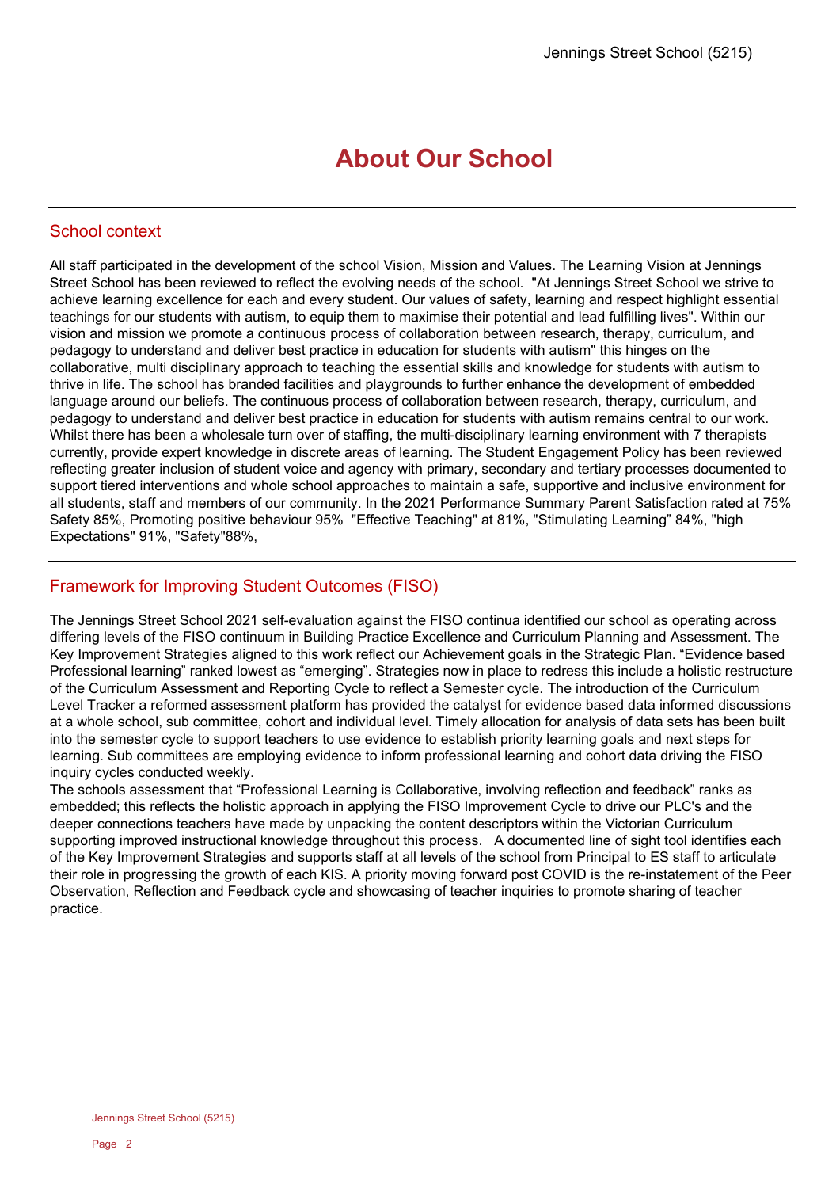## **About Our School**

## School context

All staff participated in the development of the school Vision, Mission and Values. The Learning Vision at Jennings Street School has been reviewed to reflect the evolving needs of the school. "At Jennings Street School we strive to achieve learning excellence for each and every student. Our values of safety, learning and respect highlight essential teachings for our students with autism, to equip them to maximise their potential and lead fulfilling lives". Within our vision and mission we promote a continuous process of collaboration between research, therapy, curriculum, and pedagogy to understand and deliver best practice in education for students with autism" this hinges on the collaborative, multi disciplinary approach to teaching the essential skills and knowledge for students with autism to thrive in life. The school has branded facilities and playgrounds to further enhance the development of embedded language around our beliefs. The continuous process of collaboration between research, therapy, curriculum, and pedagogy to understand and deliver best practice in education for students with autism remains central to our work. Whilst there has been a wholesale turn over of staffing, the multi-disciplinary learning environment with 7 therapists currently, provide expert knowledge in discrete areas of learning. The Student Engagement Policy has been reviewed reflecting greater inclusion of student voice and agency with primary, secondary and tertiary processes documented to support tiered interventions and whole school approaches to maintain a safe, supportive and inclusive environment for all students, staff and members of our community. In the 2021 Performance Summary Parent Satisfaction rated at 75% Safety 85%, Promoting positive behaviour 95% "Effective Teaching" at 81%, "Stimulating Learning" 84%, "high Expectations" 91%, "Safety"88%,

## Framework for Improving Student Outcomes (FISO)

The Jennings Street School 2021 self-evaluation against the FISO continua identified our school as operating across differing levels of the FISO continuum in Building Practice Excellence and Curriculum Planning and Assessment. The Key Improvement Strategies aligned to this work reflect our Achievement goals in the Strategic Plan. "Evidence based Professional learning" ranked lowest as "emerging". Strategies now in place to redress this include a holistic restructure of the Curriculum Assessment and Reporting Cycle to reflect a Semester cycle. The introduction of the Curriculum Level Tracker a reformed assessment platform has provided the catalyst for evidence based data informed discussions at a whole school, sub committee, cohort and individual level. Timely allocation for analysis of data sets has been built into the semester cycle to support teachers to use evidence to establish priority learning goals and next steps for learning. Sub committees are employing evidence to inform professional learning and cohort data driving the FISO inquiry cycles conducted weekly.

The schools assessment that "Professional Learning is Collaborative, involving reflection and feedback" ranks as embedded; this reflects the holistic approach in applying the FISO Improvement Cycle to drive our PLC's and the deeper connections teachers have made by unpacking the content descriptors within the Victorian Curriculum supporting improved instructional knowledge throughout this process. A documented line of sight tool identifies each of the Key Improvement Strategies and supports staff at all levels of the school from Principal to ES staff to articulate their role in progressing the growth of each KIS. A priority moving forward post COVID is the re-instatement of the Peer Observation, Reflection and Feedback cycle and showcasing of teacher inquiries to promote sharing of teacher practice.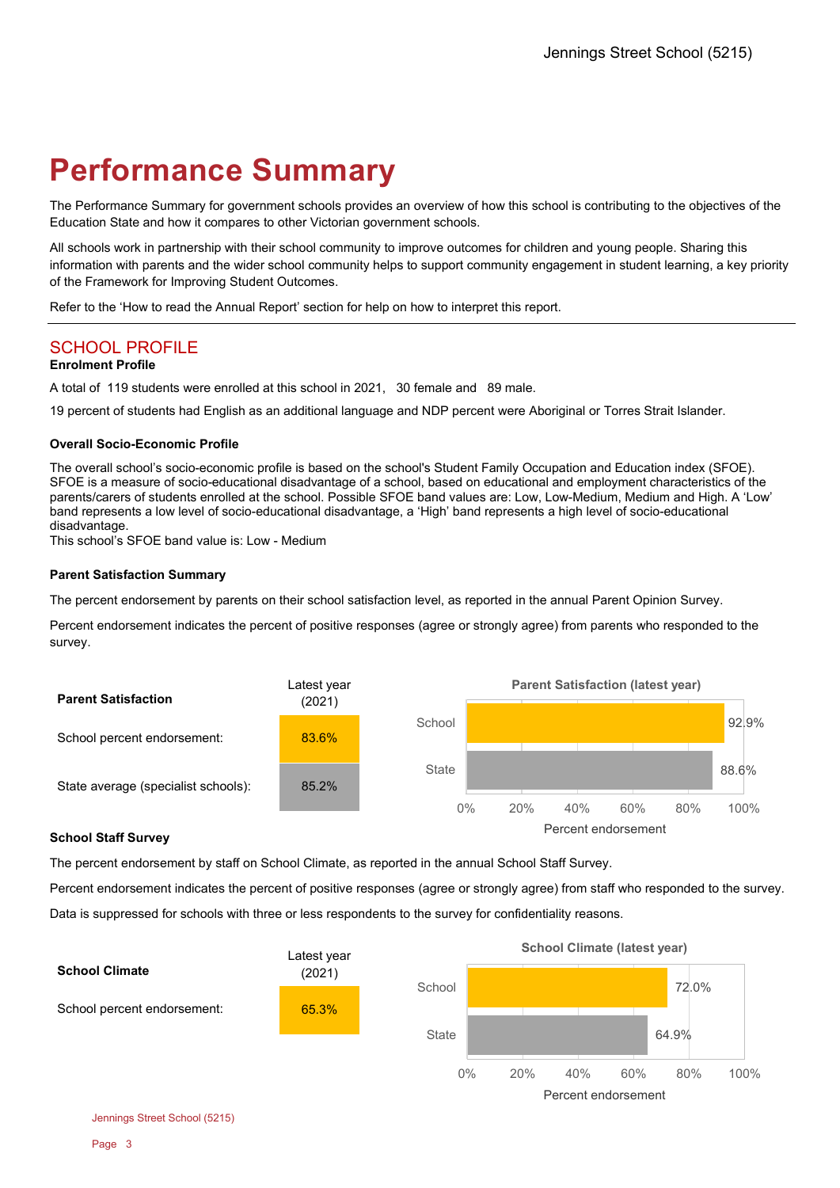# **Performance Summary**

The Performance Summary for government schools provides an overview of how this school is contributing to the objectives of the Education State and how it compares to other Victorian government schools.

All schools work in partnership with their school community to improve outcomes for children and young people. Sharing this information with parents and the wider school community helps to support community engagement in student learning, a key priority of the Framework for Improving Student Outcomes.

Refer to the 'How to read the Annual Report' section for help on how to interpret this report.

## SCHOOL PROFILE

### **Enrolment Profile**

A total of 119 students were enrolled at this school in 2021, 30 female and 89 male.

19 percent of students had English as an additional language and NDP percent were Aboriginal or Torres Strait Islander.

#### **Overall Socio-Economic Profile**

The overall school's socio-economic profile is based on the school's Student Family Occupation and Education index (SFOE). SFOE is a measure of socio-educational disadvantage of a school, based on educational and employment characteristics of the parents/carers of students enrolled at the school. Possible SFOE band values are: Low, Low-Medium, Medium and High. A 'Low' band represents a low level of socio-educational disadvantage, a 'High' band represents a high level of socio-educational disadvantage.

This school's SFOE band value is: Low - Medium

#### **Parent Satisfaction Summary**

The percent endorsement by parents on their school satisfaction level, as reported in the annual Parent Opinion Survey.

Percent endorsement indicates the percent of positive responses (agree or strongly agree) from parents who responded to the survey.



#### **School Staff Survey**

The percent endorsement by staff on School Climate, as reported in the annual School Staff Survey.

Percent endorsement indicates the percent of positive responses (agree or strongly agree) from staff who responded to the survey. Data is suppressed for schools with three or less respondents to the survey for confidentiality reasons.



Jennings Street School (5215)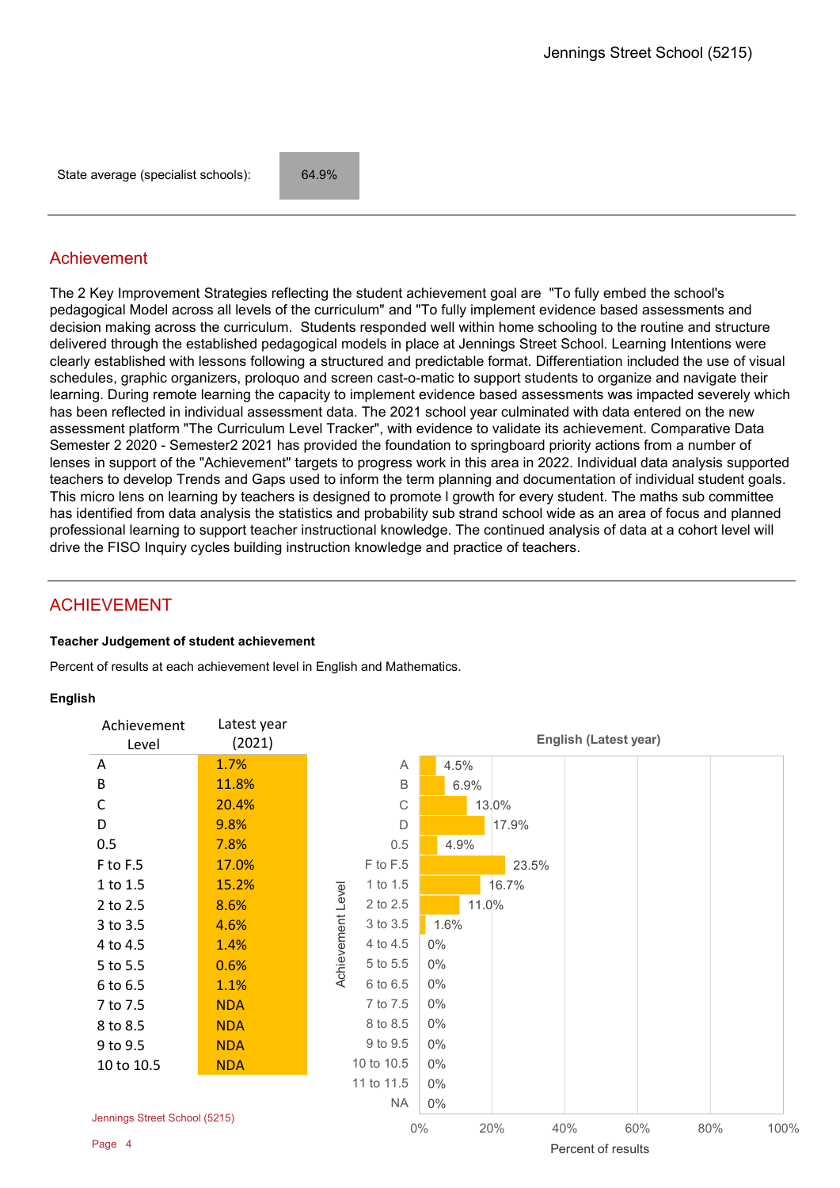State average (specialist schools): 64.9%

## Achievement

The 2 Key Improvement Strategies reflecting the student achievement goal are "To fully embed the school's pedagogical Model across all levels of the curriculum" and "To fully implement evidence based assessments and decision making across the curriculum. Students responded well within home schooling to the routine and structure delivered through the established pedagogical models in place at Jennings Street School. Learning Intentions were clearly established with lessons following a structured and predictable format. Differentiation included the use of visual schedules, graphic organizers, proloquo and screen cast-o-matic to support students to organize and navigate their learning. During remote learning the capacity to implement evidence based assessments was impacted severely which has been reflected in individual assessment data. The 2021 school year culminated with data entered on the new assessment platform "The Curriculum Level Tracker", with evidence to validate its achievement. Comparative Data Semester 2 2020 - Semester2 2021 has provided the foundation to springboard priority actions from a number of lenses in support of the "Achievement" targets to progress work in this area in 2022. Individual data analysis supported teachers to develop Trends and Gaps used to inform the term planning and documentation of individual student goals. This micro lens on learning by teachers is designed to promote l growth for every student. The maths sub committee has identified from data analysis the statistics and probability sub strand school wide as an area of focus and planned professional learning to support teacher instructional knowledge. The continued analysis of data at a cohort level will drive the FISO Inquiry cycles building instruction knowledge and practice of teachers.

## ACHIEVEMENT

#### **Teacher Judgement of student achievement**

Percent of results at each achievement level in English and Mathematics.

#### **English**

| Achievement<br>Level          | Latest year<br>(2021) |                   |             |       |       |     | <b>English (Latest year)</b> |     |      |
|-------------------------------|-----------------------|-------------------|-------------|-------|-------|-----|------------------------------|-----|------|
| A                             | 1.7%                  |                   | Α           | 4.5%  |       |     |                              |     |      |
| $\sf B$                       | 11.8%                 |                   | B           | 6.9%  |       |     |                              |     |      |
| $\mathsf C$                   | 20.4%                 |                   | $\mathsf C$ |       | 13.0% |     |                              |     |      |
| D                             | 9.8%                  |                   | D           |       | 17.9% |     |                              |     |      |
| 0.5                           | 7.8%                  |                   | 0.5         | 4.9%  |       |     |                              |     |      |
| F to F.5                      | 17.0%                 |                   | F to F.5    |       | 23.5% |     |                              |     |      |
| 1 to 1.5                      | 15.2%                 |                   | 1 to 1.5    |       | 16.7% |     |                              |     |      |
| 2 to 2.5                      | 8.6%                  |                   | 2 to 2.5    |       | 11.0% |     |                              |     |      |
| 3 to 3.5                      | 4.6%                  | Achievement Level | 3 to 3.5    | 1.6%  |       |     |                              |     |      |
| 4 to 4.5                      | 1.4%                  |                   | 4 to 4.5    | $0\%$ |       |     |                              |     |      |
| 5 to 5.5                      | 0.6%                  |                   | 5 to 5.5    | $0\%$ |       |     |                              |     |      |
| 6 to 6.5                      | 1.1%                  |                   | 6 to 6.5    | $0\%$ |       |     |                              |     |      |
| 7 to 7.5                      | <b>NDA</b>            |                   | 7 to 7.5    | $0\%$ |       |     |                              |     |      |
| 8 to 8.5                      | <b>NDA</b>            |                   | 8 to 8.5    | $0\%$ |       |     |                              |     |      |
| 9 to 9.5                      | <b>NDA</b>            |                   | 9 to 9.5    | $0\%$ |       |     |                              |     |      |
| 10 to 10.5                    | <b>NDA</b>            |                   | 10 to 10.5  | $0\%$ |       |     |                              |     |      |
|                               |                       |                   | 11 to 11.5  | $0\%$ |       |     |                              |     |      |
|                               |                       |                   | <b>NA</b>   | $0\%$ |       |     |                              |     |      |
| Jennings Street School (5215) |                       |                   |             | $0\%$ | 20%   | 40% | 60%                          | 80% | 100% |
| Page 4                        |                       |                   |             |       |       |     | Percent of results           |     |      |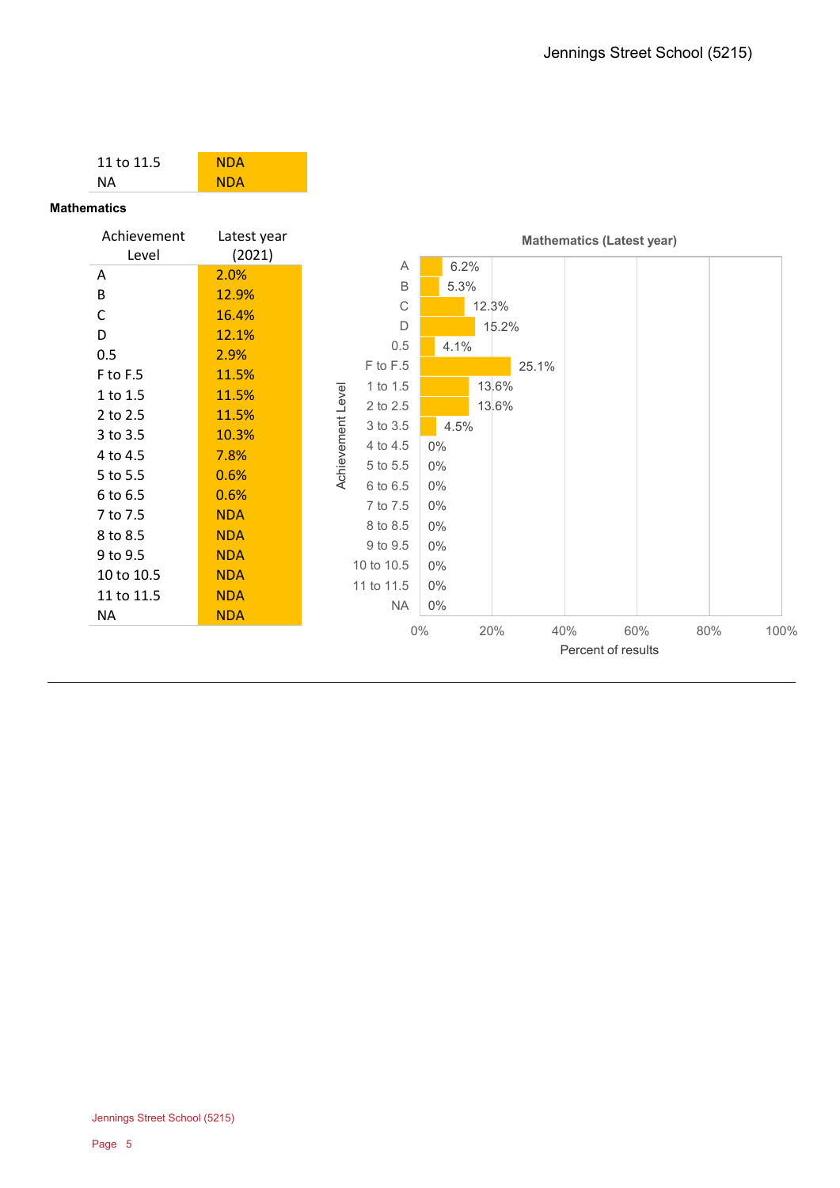| 11 to 11.5           | <b>NDA</b>            |                   |              |       |       |       |     |                                  |     |      |
|----------------------|-----------------------|-------------------|--------------|-------|-------|-------|-----|----------------------------------|-----|------|
| <b>NA</b>            | <b>NDA</b>            |                   |              |       |       |       |     |                                  |     |      |
| <b>Mathematics</b>   |                       |                   |              |       |       |       |     |                                  |     |      |
| Achievement<br>Level | Latest year<br>(2021) |                   |              |       |       |       |     | <b>Mathematics (Latest year)</b> |     |      |
| Α                    | 2.0%                  |                   | Α            | 6.2%  |       |       |     |                                  |     |      |
| B                    | 12.9%                 |                   | B            | 5.3%  |       |       |     |                                  |     |      |
| C                    | 16.4%                 |                   | $\mathsf{C}$ |       | 12.3% |       |     |                                  |     |      |
| D                    | 12.1%                 |                   | $\mathsf{D}$ |       |       | 15.2% |     |                                  |     |      |
| 0.5                  | 2.9%                  |                   | 0.5          | 4.1%  |       |       |     |                                  |     |      |
| F to F.5             | 11.5%                 |                   | F to F.5     |       |       | 25.1% |     |                                  |     |      |
| 1 to 1.5             | 11.5%                 | Achievement Level | 1 to 1.5     |       |       | 13.6% |     |                                  |     |      |
| 2 to 2.5             | 11.5%                 |                   | 2 to 2.5     |       |       | 13.6% |     |                                  |     |      |
| 3 to 3.5             | 10.3%                 |                   | 3 to 3.5     | 4.5%  |       |       |     |                                  |     |      |
| 4 to 4.5             | 7.8%                  |                   | 4 to 4.5     | $0\%$ |       |       |     |                                  |     |      |
| 5 to 5.5             | 0.6%                  |                   | 5 to 5.5     | $0\%$ |       |       |     |                                  |     |      |
| 6 to 6.5             | 0.6%                  |                   | 6 to 6.5     | $0\%$ |       |       |     |                                  |     |      |
| 7 to 7.5             | <b>NDA</b>            |                   | 7 to 7.5     | $0\%$ |       |       |     |                                  |     |      |
| 8 to 8.5             | <b>NDA</b>            |                   | 8 to 8.5     | $0\%$ |       |       |     |                                  |     |      |
| 9 to 9.5             | <b>NDA</b>            |                   | 9 to 9.5     | $0\%$ |       |       |     |                                  |     |      |
| 10 to 10.5           | <b>NDA</b>            |                   | 10 to 10.5   | $0\%$ |       |       |     |                                  |     |      |
| 11 to 11.5           | <b>NDA</b>            |                   | 11 to 11.5   | $0\%$ |       |       |     |                                  |     |      |
| <b>NA</b>            | <b>NDA</b>            |                   | <b>NA</b>    | $0\%$ |       |       |     |                                  |     |      |
|                      |                       |                   | $0\%$        |       | 20%   |       | 40% | 60%                              | 80% | 100% |
|                      |                       |                   |              |       |       |       |     | Percent of results               |     |      |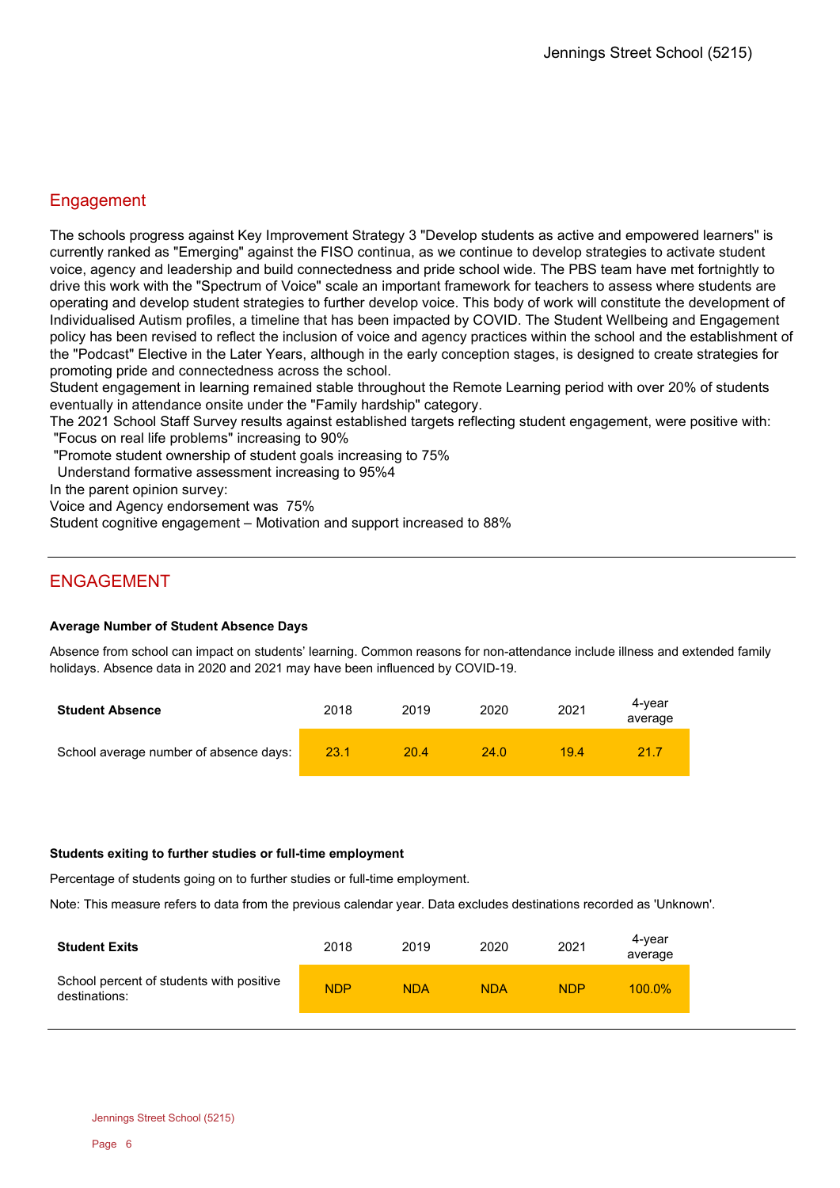## **Engagement**

The schools progress against Key Improvement Strategy 3 "Develop students as active and empowered learners" is currently ranked as "Emerging" against the FISO continua, as we continue to develop strategies to activate student voice, agency and leadership and build connectedness and pride school wide. The PBS team have met fortnightly to drive this work with the "Spectrum of Voice" scale an important framework for teachers to assess where students are operating and develop student strategies to further develop voice. This body of work will constitute the development of Individualised Autism profiles, a timeline that has been impacted by COVID. The Student Wellbeing and Engagement policy has been revised to reflect the inclusion of voice and agency practices within the school and the establishment of the "Podcast" Elective in the Later Years, although in the early conception stages, is designed to create strategies for promoting pride and connectedness across the school.

Student engagement in learning remained stable throughout the Remote Learning period with over 20% of students eventually in attendance onsite under the "Family hardship" category.

The 2021 School Staff Survey results against established targets reflecting student engagement, were positive with: "Focus on real life problems" increasing to 90%

"Promote student ownership of student goals increasing to 75%

Understand formative assessment increasing to 95%4

In the parent opinion survey:

Voice and Agency endorsement was 75%

Student cognitive engagement – Motivation and support increased to 88%

## ENGAGEMENT

#### **Average Number of Student Absence Days**

Absence from school can impact on students' learning. Common reasons for non-attendance include illness and extended family holidays. Absence data in 2020 and 2021 may have been influenced by COVID-19.

| <b>Student Absence</b>                 | 2018 | 2019 | 2020 | 2021 | 4-vear<br>average |
|----------------------------------------|------|------|------|------|-------------------|
| School average number of absence days: | 23.1 | 20.4 | 24.0 | 19.4 | 21.7              |

#### **Students exiting to further studies or full-time employment**

Percentage of students going on to further studies or full-time employment.

Note: This measure refers to data from the previous calendar year. Data excludes destinations recorded as 'Unknown'.

| <b>Student Exits</b>                                      | 2018       | 2019       | 2020       | 2021       | 4-year<br>average |
|-----------------------------------------------------------|------------|------------|------------|------------|-------------------|
| School percent of students with positive<br>destinations: | <b>NDP</b> | <b>NDA</b> | <b>NDA</b> | <b>NDP</b> | $100.0\%$         |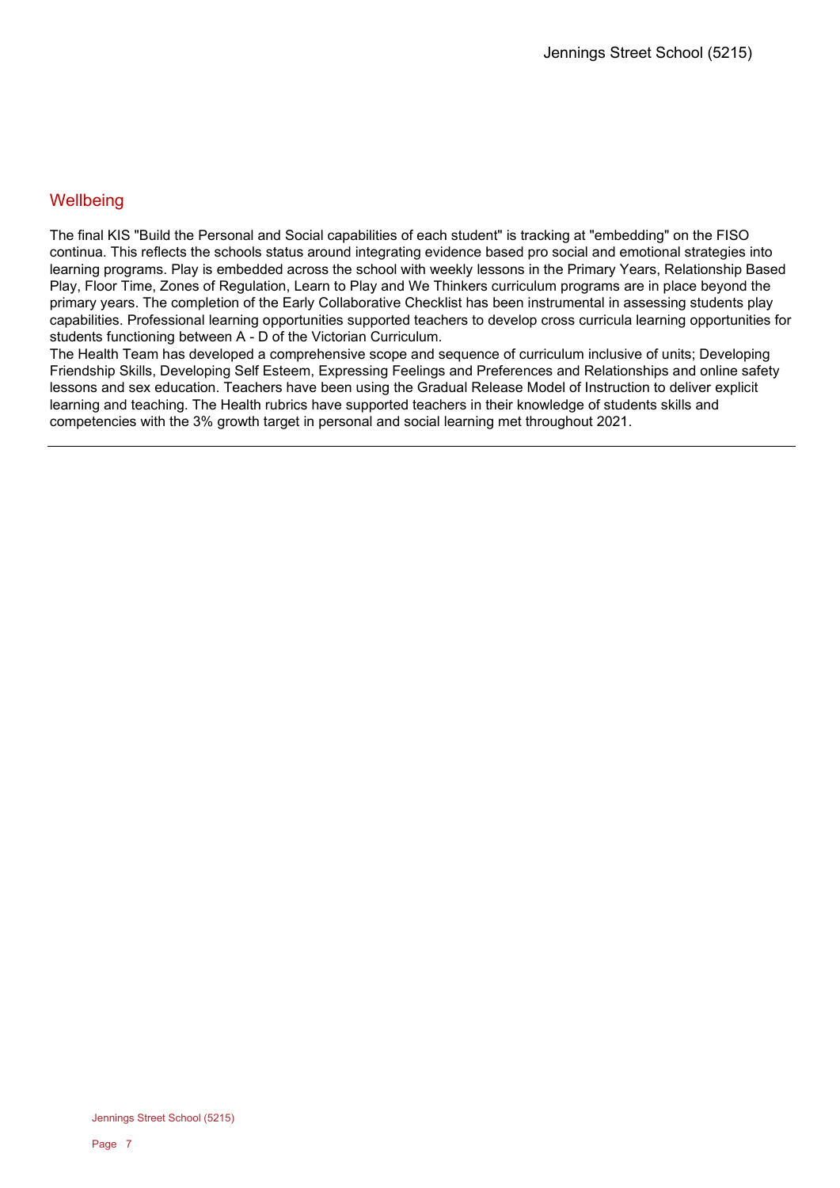## **Wellbeing**

The final KIS "Build the Personal and Social capabilities of each student" is tracking at "embedding" on the FISO continua. This reflects the schools status around integrating evidence based pro social and emotional strategies into learning programs. Play is embedded across the school with weekly lessons in the Primary Years, Relationship Based Play, Floor Time, Zones of Regulation, Learn to Play and We Thinkers curriculum programs are in place beyond the primary years. The completion of the Early Collaborative Checklist has been instrumental in assessing students play capabilities. Professional learning opportunities supported teachers to develop cross curricula learning opportunities for students functioning between A - D of the Victorian Curriculum.

The Health Team has developed a comprehensive scope and sequence of curriculum inclusive of units; Developing Friendship Skills, Developing Self Esteem, Expressing Feelings and Preferences and Relationships and online safety lessons and sex education. Teachers have been using the Gradual Release Model of Instruction to deliver explicit learning and teaching. The Health rubrics have supported teachers in their knowledge of students skills and competencies with the 3% growth target in personal and social learning met throughout 2021.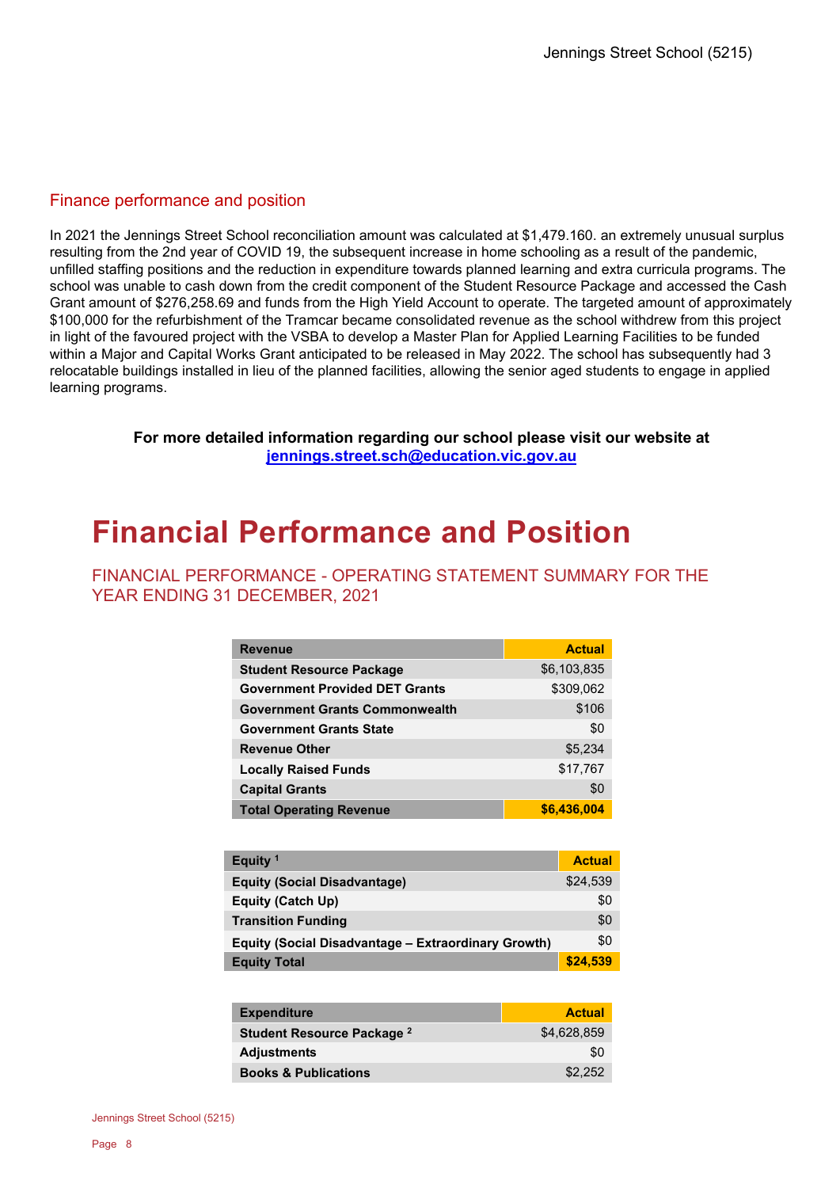## Finance performance and position

In 2021 the Jennings Street School reconciliation amount was calculated at \$1,479.160. an extremely unusual surplus resulting from the 2nd year of COVID 19, the subsequent increase in home schooling as a result of the pandemic, unfilled staffing positions and the reduction in expenditure towards planned learning and extra curricula programs. The school was unable to cash down from the credit component of the Student Resource Package and accessed the Cash Grant amount of \$276,258.69 and funds from the High Yield Account to operate. The targeted amount of approximately \$100,000 for the refurbishment of the Tramcar became consolidated revenue as the school withdrew from this project in light of the favoured project with the VSBA to develop a Master Plan for Applied Learning Facilities to be funded within a Major and Capital Works Grant anticipated to be released in May 2022. The school has subsequently had 3 relocatable buildings installed in lieu of the planned facilities, allowing the senior aged students to engage in applied learning programs.

> **For more detailed information regarding our school please visit our website at [jennings.street.sch@education.vic.gov.au](file://UXENSVR/%7BFD34A37F%7D/EXT/VZ/jennings.street.sch@education.vic.gov.au)**

# **Financial Performance and Position**

## FINANCIAL PERFORMANCE - OPERATING STATEMENT SUMMARY FOR THE YEAR ENDING 31 DECEMBER, 2021

| <b>Revenue</b>                        | <b>Actual</b> |
|---------------------------------------|---------------|
| <b>Student Resource Package</b>       | \$6,103,835   |
| <b>Government Provided DET Grants</b> | \$309,062     |
| <b>Government Grants Commonwealth</b> | \$106         |
| <b>Government Grants State</b>        | \$0           |
| <b>Revenue Other</b>                  | \$5,234       |
| <b>Locally Raised Funds</b>           | \$17,767      |
| <b>Capital Grants</b>                 | \$0           |
| <b>Total Operating Revenue</b>        | \$6,436,004   |

| Equity <sup>1</sup>                                        | <b>Actual</b> |
|------------------------------------------------------------|---------------|
| <b>Equity (Social Disadvantage)</b>                        | \$24,539      |
| Equity (Catch Up)                                          | \$0           |
| <b>Transition Funding</b>                                  | \$0           |
| <b>Equity (Social Disadvantage - Extraordinary Growth)</b> | \$0           |
| <b>Equity Total</b>                                        | \$24,539      |

| <b>Expenditure</b>              | <b>Actual</b> |
|---------------------------------|---------------|
| Student Resource Package 2      | \$4.628.859   |
| <b>Adjustments</b>              | \$0           |
| <b>Books &amp; Publications</b> | \$2.252       |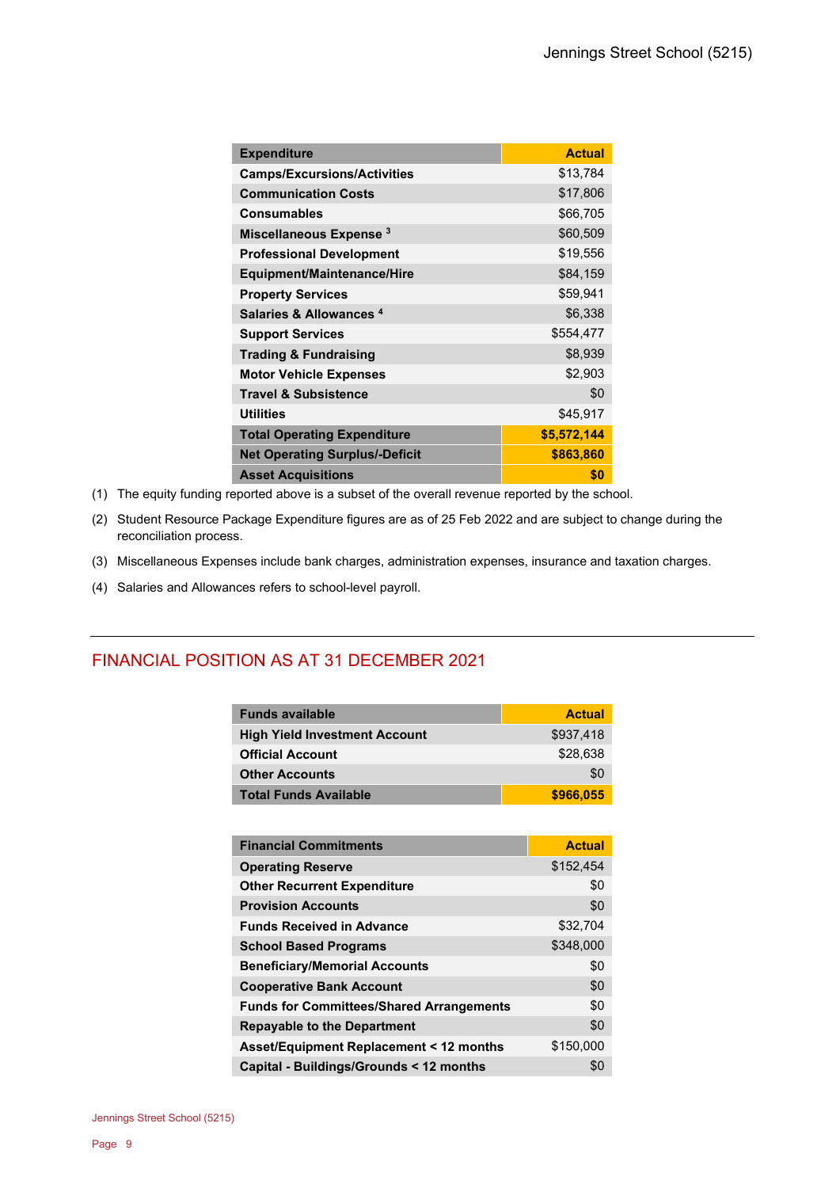| <b>Expenditure</b>                    | <b>Actual</b> |
|---------------------------------------|---------------|
| <b>Camps/Excursions/Activities</b>    | \$13,784      |
| <b>Communication Costs</b>            | \$17,806      |
| <b>Consumables</b>                    | \$66,705      |
| Miscellaneous Expense <sup>3</sup>    | \$60,509      |
| <b>Professional Development</b>       | \$19,556      |
| <b>Equipment/Maintenance/Hire</b>     | \$84,159      |
| <b>Property Services</b>              | \$59,941      |
| Salaries & Allowances <sup>4</sup>    | \$6,338       |
| <b>Support Services</b>               | \$554,477     |
| <b>Trading &amp; Fundraising</b>      | \$8,939       |
| <b>Motor Vehicle Expenses</b>         | \$2,903       |
| <b>Travel &amp; Subsistence</b>       | \$0           |
| <b>Utilities</b>                      | \$45,917      |
| <b>Total Operating Expenditure</b>    | \$5,572,144   |
| <b>Net Operating Surplus/-Deficit</b> | \$863,860     |
| <b>Asset Acquisitions</b>             | \$0           |

- (1) The equity funding reported above is a subset of the overall revenue reported by the school.
- (2) Student Resource Package Expenditure figures are as of 25 Feb 2022 and are subject to change during the reconciliation process.
- (3) Miscellaneous Expenses include bank charges, administration expenses, insurance and taxation charges.
- (4) Salaries and Allowances refers to school-level payroll.

## FINANCIAL POSITION AS AT 31 DECEMBER 2021

| <b>Funds available</b>               | <b>Actual</b> |
|--------------------------------------|---------------|
| <b>High Yield Investment Account</b> | \$937.418     |
| <b>Official Account</b>              | \$28,638      |
| <b>Other Accounts</b>                | \$0           |
| <b>Total Funds Available</b>         | \$966,055     |

| <b>Financial Commitments</b>                    | <b>Actual</b> |
|-------------------------------------------------|---------------|
| <b>Operating Reserve</b>                        | \$152,454     |
| <b>Other Recurrent Expenditure</b>              | \$0           |
| <b>Provision Accounts</b>                       | \$0           |
| <b>Funds Received in Advance</b>                | \$32,704      |
| <b>School Based Programs</b>                    | \$348,000     |
| <b>Beneficiary/Memorial Accounts</b>            | \$0           |
| <b>Cooperative Bank Account</b>                 | \$0           |
| <b>Funds for Committees/Shared Arrangements</b> | \$0           |
| <b>Repayable to the Department</b>              | \$0           |
| Asset/Equipment Replacement < 12 months         | \$150,000     |
| Capital - Buildings/Grounds < 12 months         | \$0           |